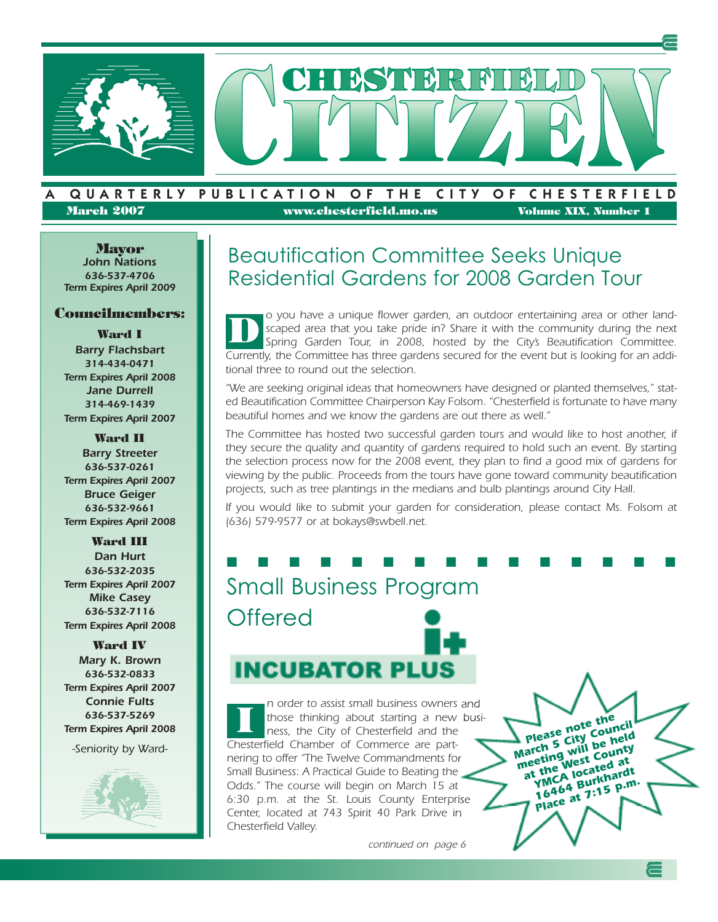

#### QUARTERLY PUBLICATION OF THE CITY OF CHESTERFIELD **March 2007 www.chesterfield.mo.us Volume XIX, Number 1**

**Mayor** *John Nations 636-537-4706 Term Expires April 2009*

#### **Councilmembers:**

**Ward I** *Barry Flachsbart 314-434-0471 Term Expires April 2008 Jane Durrell 314-469-1439 Term Expires April 2007*

**Ward II** *Barry Streeter 636-537-0261 Term Expires April 2007 Bruce Geiger 636-532-9661 Term Expires April 2008*

#### **Ward III**

*Dan Hurt 636-532-2035 Term Expires April 2007 Mike Casey 636-532-7116 Term Expires April 2008*

**Ward IV** *Mary K. Brown 636-532-0833 Term Expires April 2007 Connie Fults 636-537-5269 Term Expires April 2008*

-Seniority by Ward-



## Beautification Committee Seeks Unique Residential Gardens for 2008 Garden Tour

o you have a unique flower garden, an outdoor entertaining area or other landscaped area that you take pride in? Share it with the community during the next Spring Garden Tour, in 2008, hosted by the City's Beautification Committee. Currently, the Committee has three gardens secured for the event but is looking for an additional three to round out the selection. **D**

"We are seeking original ideas that homeowners have designed or planted themselves," stated Beautification Committee Chairperson Kay Folsom. "Chesterfield is fortunate to have many beautiful homes and we know the gardens are out there as well."

The Committee has hosted two successful garden tours and would like to host another, if they secure the quality and quantity of gardens required to hold such an event. By starting the selection process now for the 2008 event, they plan to find a good mix of gardens for viewing by the public. Proceeds from the tours have gone toward community beautification projects, such as tree plantings in the medians and bulb plantings around City Hall.

If you would like to submit your garden for consideration, please contact Ms. Folsom at (636) 579-9577 or at bokays@swbell.net.

# **■ ■ ■ ■ ■ ■ ■ ■ ■ ■ ■ ■ ■ ■ ■** Small Business Program **Offered INCUBATOR PLUS**

n order to assist small business owners and those thinking about starting a new business, the City of Chesterfield and the Chesterfield Chamber of Commerce are partnering to offer "The Twelve Commandments for Small Business: A Practical Guide to Beating the Odds." The course will begin on March 15 at 6:30 p.m. at the St. Louis County Enterprise Center, located at 743 Spirit 40 Park Drive in Chesterfield Valley. **I**

continued on page 6

*Please note the March <sup>5</sup> City Council meeting will be held at the West County YMCA located at <sup>16464</sup> Burkhardt Place at 7:<sup>15</sup> p.m.*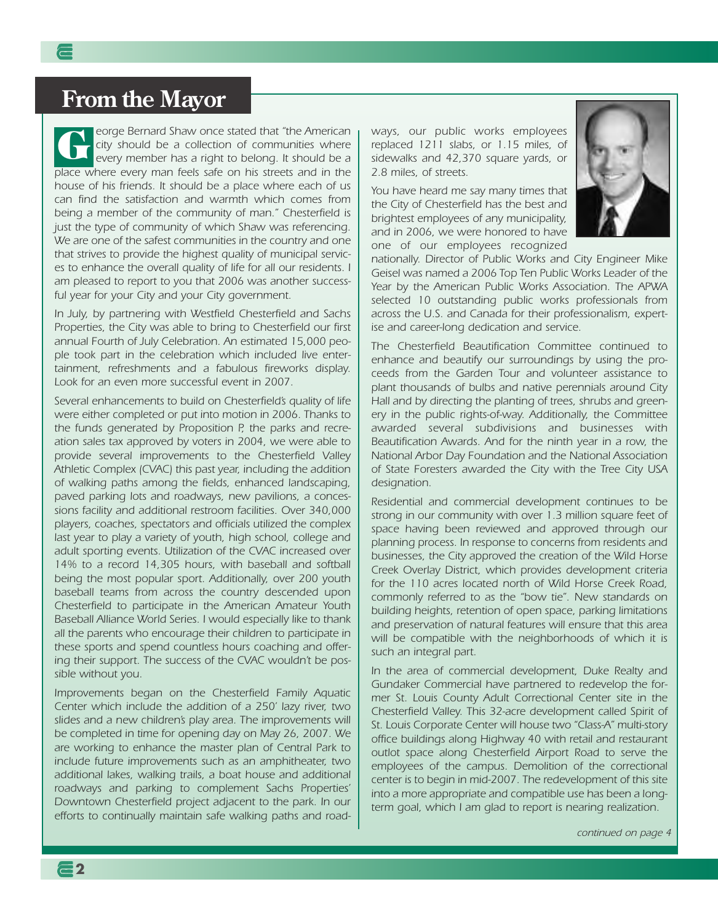### **From the Mayor**

eorge Bernard Shaw once stated that "the American city should be a collection of communities where every member has a right to belong. It should be a place where every man feels safe on his streets and in the house of his friends. It should be a place where each of us can find the satisfaction and warmth which comes from being a member of the community of man." Chesterfield is just the type of community of which Shaw was referencing. We are one of the safest communities in the country and one that strives to provide the highest quality of municipal services to enhance the overall quality of life for all our residents. I am pleased to report to you that 2006 was another successful year for your City and your City government. **G**

In July, by partnering with Westfield Chesterfield and Sachs Properties, the City was able to bring to Chesterfield our first annual Fourth of July Celebration. An estimated 15,000 people took part in the celebration which included live entertainment, refreshments and a fabulous fireworks display. Look for an even more successful event in 2007.

Several enhancements to build on Chesterfield's quality of life were either completed or put into motion in 2006. Thanks to the funds generated by Proposition P, the parks and recreation sales tax approved by voters in 2004, we were able to provide several improvements to the Chesterfield Valley Athletic Complex (CVAC) this past year, including the addition of walking paths among the fields, enhanced landscaping, paved parking lots and roadways, new pavilions, a concessions facility and additional restroom facilities. Over 340,000 players, coaches, spectators and officials utilized the complex last year to play a variety of youth, high school, college and adult sporting events. Utilization of the CVAC increased over 14% to a record 14,305 hours, with baseball and softball being the most popular sport. Additionally, over 200 youth baseball teams from across the country descended upon Chesterfield to participate in the American Amateur Youth Baseball Alliance World Series. I would especially like to thank all the parents who encourage their children to participate in these sports and spend countless hours coaching and offering their support. The success of the CVAC wouldn't be possible without you.

Improvements began on the Chesterfield Family Aquatic Center which include the addition of a 250' lazy river, two slides and a new children's play area. The improvements will be completed in time for opening day on May 26, 2007. We are working to enhance the master plan of Central Park to include future improvements such as an amphitheater, two additional lakes, walking trails, a boat house and additional roadways and parking to complement Sachs Properties' Downtown Chesterfield project adjacent to the park. In our efforts to continually maintain safe walking paths and road-

**2**

ways, our public works employees replaced 1211 slabs, or 1.15 miles, of sidewalks and 42,370 square yards, or 2.8 miles, of streets.

You have heard me say many times that the City of Chesterfield has the best and brightest employees of any municipality, and in 2006, we were honored to have one of our employees recognized



nationally. Director of Public Works and City Engineer Mike Geisel was named a 2006 Top Ten Public Works Leader of the Year by the American Public Works Association. The APWA selected 10 outstanding public works professionals from across the U.S. and Canada for their professionalism, expertise and career-long dedication and service.

The Chesterfield Beautification Committee continued to enhance and beautify our surroundings by using the proceeds from the Garden Tour and volunteer assistance to plant thousands of bulbs and native perennials around City Hall and by directing the planting of trees, shrubs and greenery in the public rights-of-way. Additionally, the Committee awarded several subdivisions and businesses with Beautification Awards. And for the ninth year in a row, the National Arbor Day Foundation and the National Association of State Foresters awarded the City with the Tree City USA designation.

Residential and commercial development continues to be strong in our community with over 1.3 million square feet of space having been reviewed and approved through our planning process. In response to concerns from residents and businesses, the City approved the creation of the Wild Horse Creek Overlay District, which provides development criteria for the 110 acres located north of Wild Horse Creek Road, commonly referred to as the "bow tie". New standards on building heights, retention of open space, parking limitations and preservation of natural features will ensure that this area will be compatible with the neighborhoods of which it is such an integral part.

In the area of commercial development, Duke Realty and Gundaker Commercial have partnered to redevelop the former St. Louis County Adult Correctional Center site in the Chesterfield Valley. This 32-acre development called Spirit of St. Louis Corporate Center will house two "Class-A" multi-story office buildings along Highway 40 with retail and restaurant outlot space along Chesterfield Airport Road to serve the employees of the campus. Demolition of the correctional center is to begin in mid-2007. The redevelopment of this site into a more appropriate and compatible use has been a longterm goal, which I am glad to report is nearing realization.

continued on page 4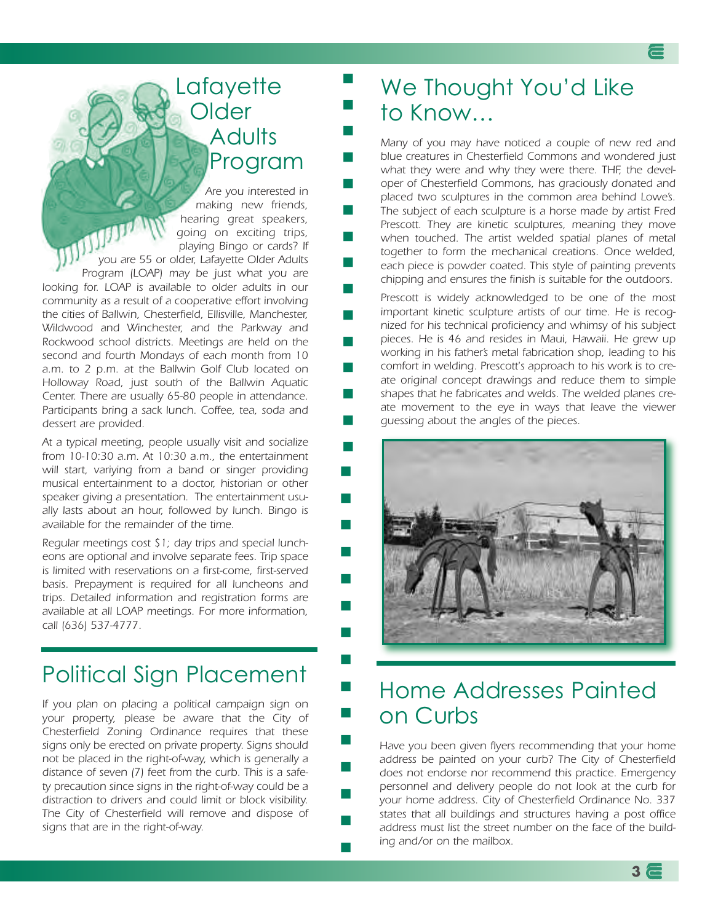## Lafayette **Older Adults** Program

Are you interested in making new friends, hearing great speakers, going on exciting trips, playing Bingo or cards? If you exciting trips,<br>playing Bingo or cards? If<br>you are 55 or older, Lafayette Older Adults Program (LOAP) may be just what you are looking for. LOAP is available to older adults in our community as a result of a cooperative effort involving the cities of Ballwin, Chesterfield, Ellisville, Manchester, Wildwood and Winchester, and the Parkway and Rockwood school districts. Meetings are held on the second and fourth Mondays of each month from 10 a.m. to 2 p.m. at the Ballwin Golf Club located on Holloway Road, just south of the Ballwin Aquatic Center. There are usually 65-80 people in attendance. Participants bring a sack lunch. Coffee, tea, soda and dessert are provided.

At a typical meeting, people usually visit and socialize from 10-10:30 a.m. At 10:30 a.m., the entertainment will start, variying from a band or singer providing musical entertainment to a doctor, historian or other speaker giving a presentation. The entertainment usually lasts about an hour, followed by lunch. Bingo is available for the remainder of the time.

**■**

**■**

**■**

**■**

**■**

**■**

**■**

**■**

**■**

**■**

**■**

**■**

**■**

**■**

**■**

**■**

**■**

**■**

**■**

**■**

**■**

**■**

**■**

**■**

**■**

**■**

**■**

**■**

**■**

Regular meetings cost \$1; day trips and special luncheons are optional and involve separate fees. Trip space is limited with reservations on a first-come, first-served basis. Prepayment is required for all luncheons and trips. Detailed information and registration forms are available at all LOAP meetings. For more information, call (636) 537-4777.

# Political Sign Placement

If you plan on placing a political campaign sign on your property, please be aware that the City of Chesterfield Zoning Ordinance requires that these signs only be erected on private property. Signs should not be placed in the right-of-way, which is generally a distance of seven (7) feet from the curb. This is a safety precaution since signs in the right-of-way could be a distraction to drivers and could limit or block visibility. The City of Chesterfield will remove and dispose of signs that are in the right-of-way.

## We Thought You'd Like to Know…

Many of you may have noticed a couple of new red and blue creatures in Chesterfield Commons and wondered just what they were and why they were there. THF, the developer of Chesterfield Commons, has graciously donated and placed two sculptures in the common area behind Lowe's. The subject of each sculpture is a horse made by artist Fred Prescott. They are kinetic sculptures, meaning they move when touched. The artist welded spatial planes of metal together to form the mechanical creations. Once welded, each piece is powder coated. This style of painting prevents chipping and ensures the finish is suitable for the outdoors.

Prescott is widely acknowledged to be one of the most important kinetic sculpture artists of our time. He is recognized for his technical proficiency and whimsy of his subject pieces. He is 46 and resides in Maui, Hawaii. He grew up working in his father's metal fabrication shop, leading to his comfort in welding. Prescott's approach to his work is to create original concept drawings and reduce them to simple shapes that he fabricates and welds. The welded planes create movement to the eye in ways that leave the viewer guessing about the angles of the pieces.



## Home Addresses Painted on Curbs

Have you been given flyers recommending that your home address be painted on your curb? The City of Chesterfield does not endorse nor recommend this practice. Emergency personnel and delivery people do not look at the curb for your home address. City of Chesterfield Ordinance No. 337 states that all buildings and structures having a post office address must list the street number on the face of the building and/or on the mailbox.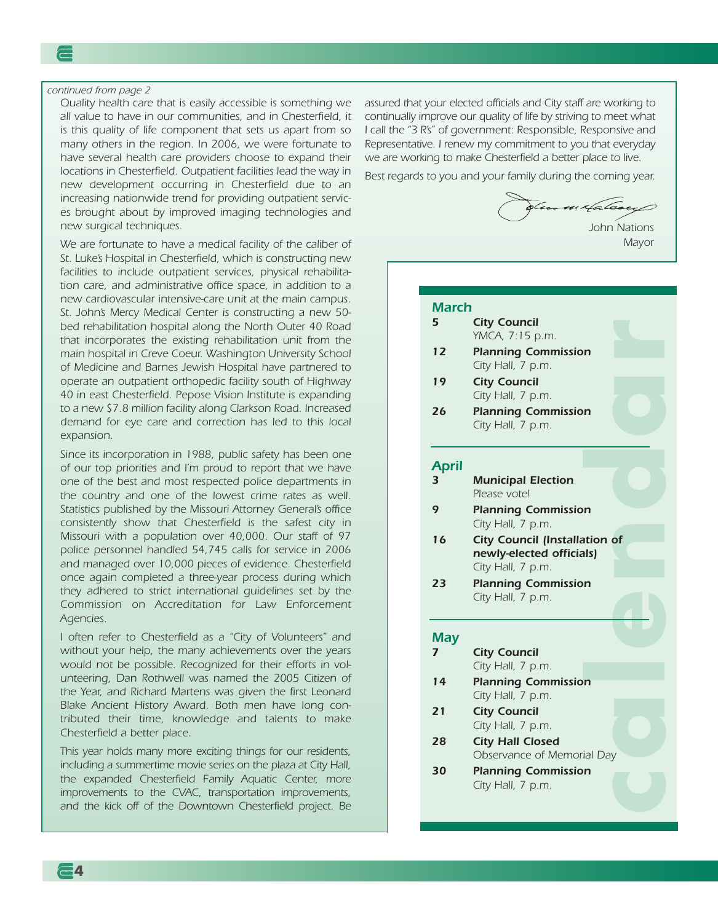continued from page 2

Quality health care that is easily accessible is something we all value to have in our communities, and in Chesterfield, it is this quality of life component that sets us apart from so many others in the region. In 2006, we were fortunate to have several health care providers choose to expand their locations in Chesterfield. Outpatient facilities lead the way in new development occurring in Chesterfield due to an increasing nationwide trend for providing outpatient services brought about by improved imaging technologies and new surgical techniques.

We are fortunate to have a medical facility of the caliber of St. Luke's Hospital in Chesterfield, which is constructing new facilities to include outpatient services, physical rehabilitation care, and administrative office space, in addition to a new cardiovascular intensive-care unit at the main campus. St. John's Mercy Medical Center is constructing a new 50 bed rehabilitation hospital along the North Outer 40 Road that incorporates the existing rehabilitation unit from the main hospital in Creve Coeur. Washington University School of Medicine and Barnes Jewish Hospital have partnered to operate an outpatient orthopedic facility south of Highway 40 in east Chesterfield. Pepose Vision Institute is expanding to a new \$7.8 million facility along Clarkson Road. Increased demand for eye care and correction has led to this local expansion.

Since its incorporation in 1988, public safety has been one of our top priorities and I'm proud to report that we have one of the best and most respected police departments in the country and one of the lowest crime rates as well. Statistics published by the Missouri Attorney General's office consistently show that Chesterfield is the safest city in Missouri with a population over 40,000. Our staff of 97 police personnel handled 54,745 calls for service in 2006 and managed over 10,000 pieces of evidence. Chesterfield once again completed a three-year process during which they adhered to strict international guidelines set by the Commission on Accreditation for Law Enforcement Agencies.

I often refer to Chesterfield as a "City of Volunteers" and without your help, the many achievements over the years would not be possible. Recognized for their efforts in volunteering, Dan Rothwell was named the 2005 Citizen of the Year, and Richard Martens was given the first Leonard Blake Ancient History Award. Both men have long contributed their time, knowledge and talents to make Chesterfield a better place.

This year holds many more exciting things for our residents, including a summertime movie series on the plaza at City Hall, the expanded Chesterfield Family Aquatic Center, more improvements to the CVAC, transportation improvements, and the kick off of the Downtown Chesterfield project. Be assured that your elected officials and City staff are working to continually improve our quality of life by striving to meet what I call the "3 R's" of government: Responsible, Responsive and Representative. I renew my commitment to you that everyday we are working to make Chesterfield a better place to live.

Best regards to you and your family during the coming year.

×fale.

John Nations **Mayor** 

**e**

#### *March*

- *5 City Council* YMCA, 7:15 p.m.
- *12 Planning Commission* City Hall, 7 p.m.
- *19 City Council* City Hall, 7 p.m.
- *26 Planning Commission* City Hall, 7 p.m.

#### *April*

- *3 Municipal Election* Please vote!
- **d***9 Planning Commission* City Hall, 7 p.m.
- **n**<br> **n**<br> **n** *16 City Council (Installation of newly-elected officials)* City Hall, 7 p.m.
- *23 Planning Commission* City Hall, 7 p.m.

#### *May*

- *7 City Council* City Hall, 7 p.m.
- **l** *14 Planning Commission* City Hall, 7 p.m.
- *21 City Council* City Hall, 7 p.m.
- **a***28 City Hall Closed* Observance of Memorial Day
- *30 Planning Commission* City Hall, 7 p.m.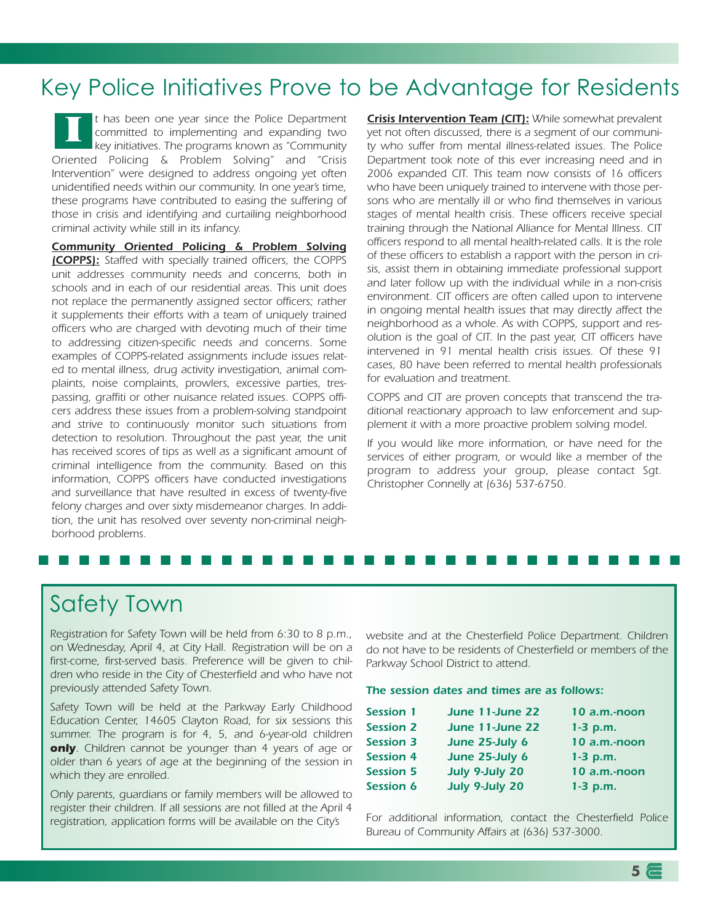# Key Police Initiatives Prove to be Advantage for Residents

t has been one year since the Police Department committed to implementing and expanding two key initiatives. The programs known as "Community Oriented Policing & Problem Solving" and "Crisis Intervention" were designed to address ongoing yet often unidentified needs within our community. In one year's time, these programs have contributed to easing the suffering of those in crisis and identifying and curtailing neighborhood criminal activity while still in its infancy. **I**

*Community Oriented Policing & Problem Solving (COPPS):* Staffed with specially trained officers, the COPPS unit addresses community needs and concerns, both in schools and in each of our residential areas. This unit does not replace the permanently assigned sector officers; rather it supplements their efforts with a team of uniquely trained officers who are charged with devoting much of their time to addressing citizen-specific needs and concerns. Some examples of COPPS-related assignments include issues related to mental illness, drug activity investigation, animal complaints, noise complaints, prowlers, excessive parties, trespassing, graffiti or other nuisance related issues. COPPS officers address these issues from a problem-solving standpoint and strive to continuously monitor such situations from detection to resolution. Throughout the past year, the unit has received scores of tips as well as a significant amount of criminal intelligence from the community. Based on this information, COPPS officers have conducted investigations and surveillance that have resulted in excess of twenty-five felony charges and over sixty misdemeanor charges. In addition, the unit has resolved over seventy non-criminal neighborhood problems.

*Crisis Intervention Team (CIT):* While somewhat prevalent yet not often discussed, there is a segment of our community who suffer from mental illness-related issues. The Police Department took note of this ever increasing need and in 2006 expanded CIT. This team now consists of 16 officers who have been uniquely trained to intervene with those persons who are mentally ill or who find themselves in various stages of mental health crisis. These officers receive special training through the National Alliance for Mental Illness. CIT officers respond to all mental health-related calls. It is the role of these officers to establish a rapport with the person in crisis, assist them in obtaining immediate professional support and later follow up with the individual while in a non-crisis environment. CIT officers are often called upon to intervene in ongoing mental health issues that may directly affect the neighborhood as a whole. As with COPPS, support and resolution is the goal of CIT. In the past year, CIT officers have intervened in 91 mental health crisis issues. Of these 91 cases, 80 have been referred to mental health professionals for evaluation and treatment.

COPPS and CIT are proven concepts that transcend the traditional reactionary approach to law enforcement and supplement it with a more proactive problem solving model.

If you would like more information, or have need for the services of either program, or would like a member of the program to address your group, please contact Sgt. Christopher Connelly at (636) 537-6750.

#### **■ ■ ■ ■ ■ ■ ■ ■ ■ ■ ■ ■ ■ ■ ■ ■ ■ ■ ■ ■ ■ ■ ■ ■ ■ ■ ■ ■ ■ ■ ■ ■**

## Safety Town

Registration for Safety Town will be held from 6:30 to 8 p.m., on Wednesday, April 4, at City Hall. Registration will be on a first-come, first-served basis. Preference will be given to children who reside in the City of Chesterfield and who have not previously attended Safety Town.

Safety Town will be held at the Parkway Early Childhood Education Center, 14605 Clayton Road, for six sessions this summer. The program is for 4, 5, and 6-year-old children *only*. Children cannot be younger than 4 years of age or older than 6 years of age at the beginning of the session in which they are enrolled.

Only parents, guardians or family members will be allowed to register their children. If all sessions are not filled at the April 4 registration, application forms will be available on the City's

website and at the Chesterfield Police Department. Children do not have to be residents of Chesterfield or members of the Parkway School District to attend.

#### *The session dates and times are as follows:*

| <b>Session 1</b> | June 11-June 22 | 10 a.m.-noon |
|------------------|-----------------|--------------|
| <b>Session 2</b> | June 11-June 22 | $1-3$ p.m.   |
| <b>Session 3</b> | June 25-July 6  | 10 a.m.-noon |
| <b>Session 4</b> | June 25-July 6  | $1-3$ p.m.   |
| <b>Session 5</b> | July 9-July 20  | 10 a.m.-noon |
| <b>Session 6</b> | July 9-July 20  | $1-3$ p.m.   |

For additional information, contact the Chesterfield Police Bureau of Community Affairs at (636) 537-3000.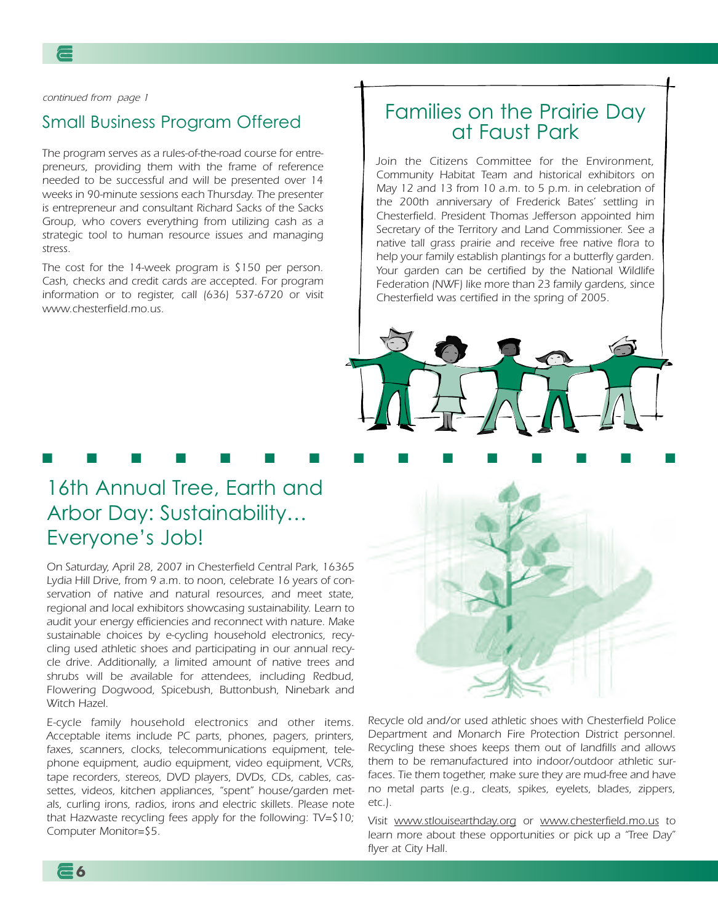continued from page 1

#### Small Business Program Offered

The program serves as a rules-of-the-road course for entrepreneurs, providing them with the frame of reference needed to be successful and will be presented over 14 weeks in 90-minute sessions each Thursday. The presenter is entrepreneur and consultant Richard Sacks of the Sacks Group, who covers everything from utilizing cash as a strategic tool to human resource issues and managing stress.

The cost for the 14-week program is \$150 per person. Cash, checks and credit cards are accepted. For program information or to register, call (636) 537-6720 or visit www.chesterfield.mo.us.

### Families on the Prairie Day at Faust Park

Join the Citizens Committee for the Environment, Community Habitat Team and historical exhibitors on May 12 and 13 from 10 a.m. to 5 p.m. in celebration of the 200th anniversary of Frederick Bates' settling in Chesterfield. President Thomas Jefferson appointed him Secretary of the Territory and Land Commissioner. See a native tall grass prairie and receive free native flora to help your family establish plantings for a butterfly garden. Your garden can be certified by the National Wildlife Federation (NWF) like more than 23 family gardens, since Chesterfield was certified in the spring of 2005.



**■ ■ ■ ■ ■ ■ ■ ■ ■ ■ ■ ■ ■ ■ ■**

## 16th Annual Tree, Earth and Arbor Day: Sustainability… Everyone's Job!

On Saturday, April 28, 2007 in Chesterfield Central Park, 16365 Lydia Hill Drive, from 9 a.m. to noon, celebrate 16 years of conservation of native and natural resources, and meet state, regional and local exhibitors showcasing sustainability. Learn to audit your energy efficiencies and reconnect with nature. Make sustainable choices by e-cycling household electronics, recycling used athletic shoes and participating in our annual recycle drive. Additionally, a limited amount of native trees and shrubs will be available for attendees, including Redbud, Flowering Dogwood, Spicebush, Buttonbush, Ninebark and Witch Hazel.

E-cycle family household electronics and other items. Acceptable items include PC parts, phones, pagers, printers, faxes, scanners, clocks, telecommunications equipment, telephone equipment, audio equipment, video equipment, VCRs, tape recorders, stereos, DVD players, DVDs, CDs, cables, cassettes, videos, kitchen appliances, "spent" house/garden metals, curling irons, radios, irons and electric skillets. Please note that Hazwaste recycling fees apply for the following: TV=\$10; Computer Monitor=\$5.



Recycle old and/or used athletic shoes with Chesterfield Police Department and Monarch Fire Protection District personnel. Recycling these shoes keeps them out of landfills and allows them to be remanufactured into indoor/outdoor athletic surfaces. Tie them together, make sure they are mud-free and have no metal parts (e.g., cleats, spikes, eyelets, blades, zippers, etc.).

Visit www.stlouisearthday.org or www.chesterfield.mo.us to learn more about these opportunities or pick up a "Tree Day" flyer at City Hall.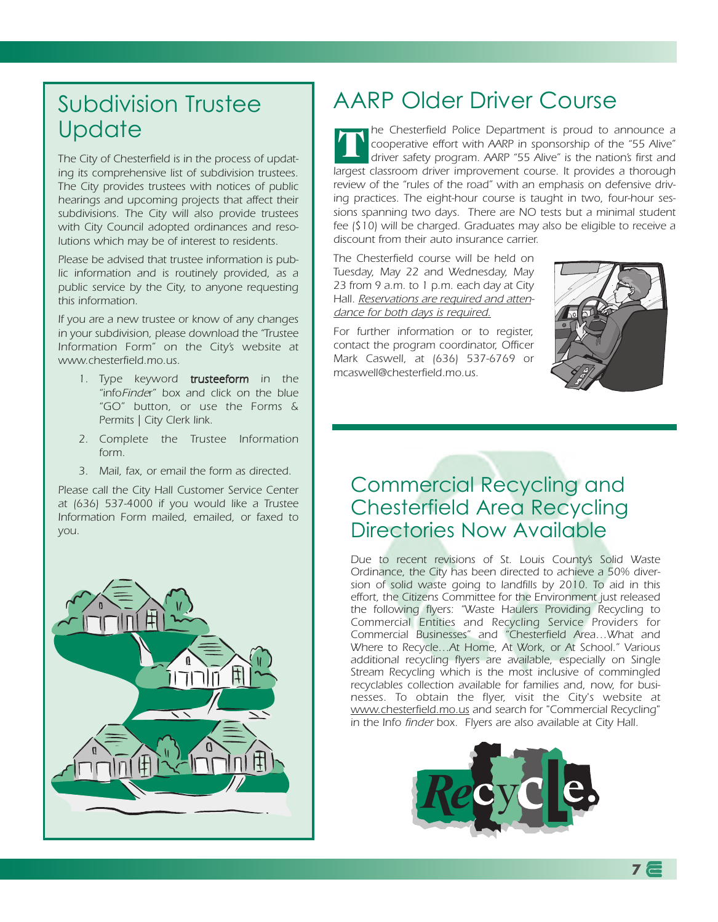# Subdivision Trustee **Update**

The City of Chesterfield is in the process of updating its comprehensive list of subdivision trustees. The City provides trustees with notices of public hearings and upcoming projects that affect their subdivisions. The City will also provide trustees with City Council adopted ordinances and resolutions which may be of interest to residents.

Please be advised that trustee information is public information and is routinely provided, as a public service by the City, to anyone requesting this information.

If you are a new trustee or know of any changes in your subdivision, please download the "Trustee Information Form" on the City's website at www.chesterfield.mo.us.

- 1. Type keyword trusteeform in the "infoFinder" box and click on the blue "GO" button, or use the Forms & Permits | City Clerk link.
- 2. Complete the Trustee Information form.
- 3. Mail, fax, or email the form as directed.

Please call the City Hall Customer Service Center at (636) 537-4000 if you would like a Trustee Information Form mailed, emailed, or faxed to you.



# AARP Older Driver Course

he Chesterfield Police Department is proud to announce a cooperative effort with AARP in sponsorship of the "55 Alive" driver safety program. AARP "55 Alive" is the nation's first and largest classroom driver improvement course. It provides a thorough review of the "rules of the road" with an emphasis on defensive driving practices. The eight-hour course is taught in two, four-hour sessions spanning two days. There are NO tests but a minimal student fee (\$10) will be charged. Graduates may also be eligible to receive a discount from their auto insurance carrier. **T**

The Chesterfield course will be held on Tuesday, May 22 and Wednesday, May 23 from 9 a.m. to 1 p.m. each day at City Hall. Reservations are required and attendance for both days is required.

For further information or to register, contact the program coordinator, Officer Mark Caswell, at (636) 537-6769 or mcaswell@chesterfield.mo.us.



### Commercial Recycling and Chesterfield Area Recycling Directories Now Available

Due to recent revisions of St. Louis County's Solid Waste Ordinance, the City has been directed to achieve a 50% diversion of solid waste going to landfills by 2010. To aid in this effort, the Citizens Committee for the Environment just released the following flyers: "Waste Haulers Providing Recycling to Commercial Entities and Recycling Service Providers for Commercial Businesses" and "Chesterfield Area…What and Where to Recycle…At Home, At Work, or At School." Various additional recycling flyers are available, especially on Single Stream Recycling which is the most inclusive of commingled recyclables collection available for families and, now, for businesses. To obtain the flyer, visit the City's website at www.chesterfield.mo.us and search for "Commercial Recycling" in the Info finder box. Flyers are also available at City Hall.